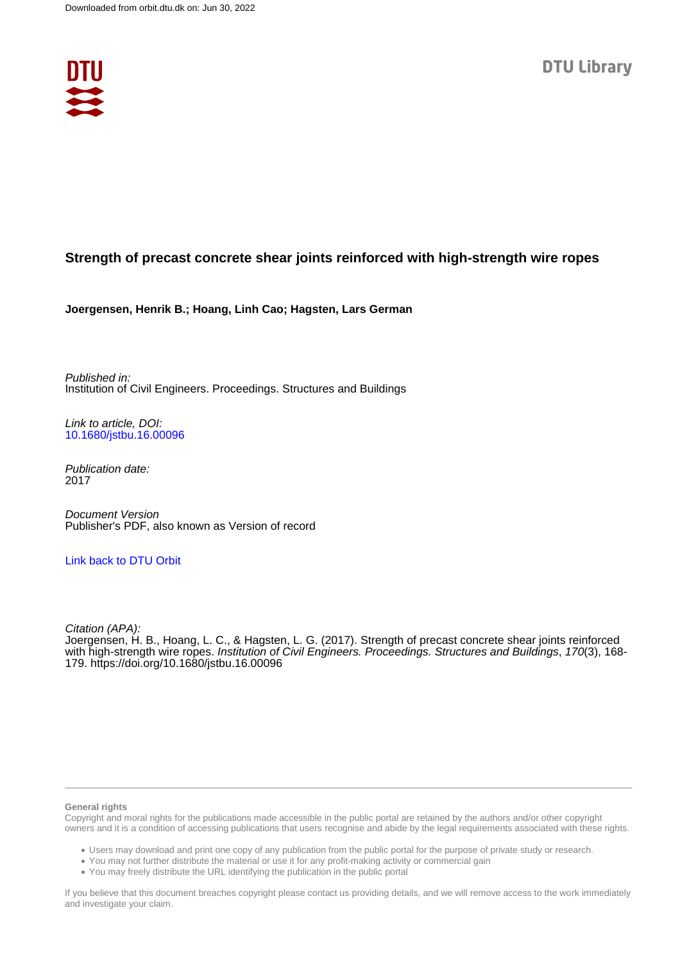

# **Strength of precast concrete shear joints reinforced with high-strength wire ropes**

**Joergensen, Henrik B.; Hoang, Linh Cao; Hagsten, Lars German**

Published in: Institution of Civil Engineers. Proceedings. Structures and Buildings

Link to article, DOI: [10.1680/jstbu.16.00096](https://doi.org/10.1680/jstbu.16.00096)

Publication date: 2017

Document Version Publisher's PDF, also known as Version of record

## [Link back to DTU Orbit](https://orbit.dtu.dk/en/publications/93d69884-a3ea-47e3-beb7-819b3127b6a8)

Citation (APA): Joergensen, H. B., Hoang, L. C., & Hagsten, L. G. (2017). Strength of precast concrete shear joints reinforced with high-strength wire ropes. Institution of Civil Engineers. Proceedings. Structures and Buildings, 170(3), 168- 179.<https://doi.org/10.1680/jstbu.16.00096>

#### **General rights**

Copyright and moral rights for the publications made accessible in the public portal are retained by the authors and/or other copyright owners and it is a condition of accessing publications that users recognise and abide by the legal requirements associated with these rights.

Users may download and print one copy of any publication from the public portal for the purpose of private study or research.

- You may not further distribute the material or use it for any profit-making activity or commercial gain
- You may freely distribute the URL identifying the publication in the public portal

If you believe that this document breaches copyright please contact us providing details, and we will remove access to the work immediately and investigate your claim.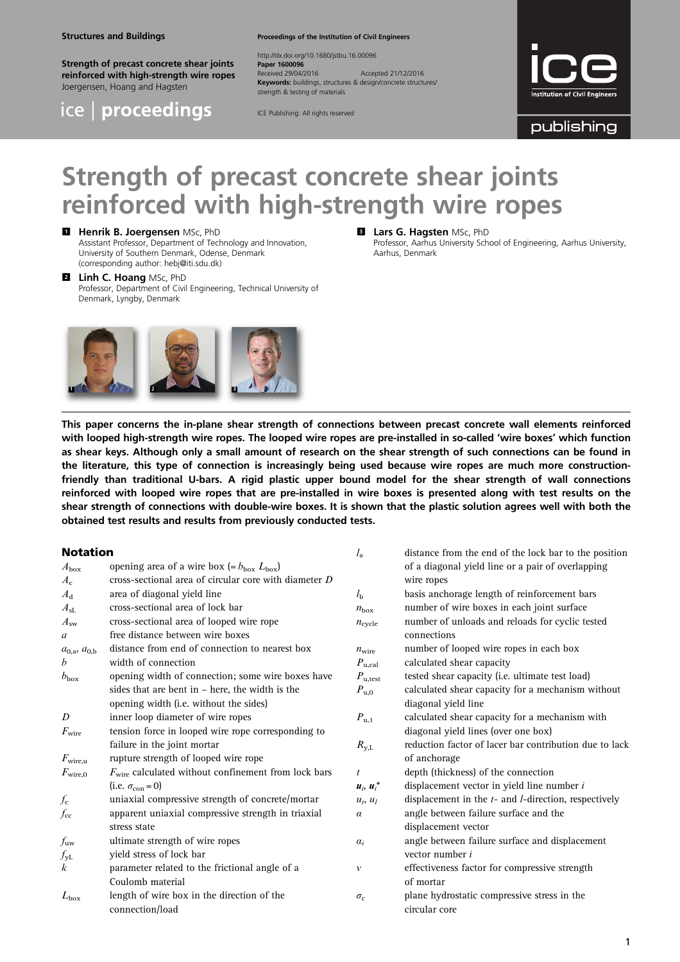#### Structures and Buildings

Strength of precast concrete shear joints reinforced with high-strength wire ropes Joergensen, Hoang and Hagsten



Proceedings of the Institution of Civil Engineers

http://dx.doi.org/10.1680/jstbu.16.00096 Paper 1600096<br>Received 29/04/2016 Received 29/04/2016 Accepted 21/12/2016 Keywords: buildings, structures & design/concrete structures/ strength & testing of materials

ICE Publishing: All rights reserved



publishing

# Strength of precast concrete shear joints reinforced with high-strength wire ropes

#### **El** Henrik B. Joergensen MSc, PhD Assistant Professor, Department of Technology and Innovation, University of Southern Denmark, Odense, Denmark (corresponding author: [hebj@iti.sdu.dk](mailto:hebj@iti.sdu.dk))

**2** Linh C. Hoang MSc, PhD Professor, Department of Civil Engineering, Technical University of Denmark, Lyngby, Denmark



## **B** Lars G. Hagsten MSc, PhD

Professor, Aarhus University School of Engineering, Aarhus University, Aarhus, Denmark

 $l_1$  distance from the end of the lock bar to the position

This paper concerns the in-plane shear strength of connections between precast concrete wall elements reinforced with looped high-strength wire ropes. The looped wire ropes are pre-installed in so-called 'wire boxes' which function as shear keys. Although only a small amount of research on the shear strength of such connections can be found in the literature, this type of connection is increasingly being used because wire ropes are much more constructionfriendly than traditional U-bars. A rigid plastic upper bound model for the shear strength of wall connections reinforced with looped wire ropes that are pre-installed in wire boxes is presented along with test results on the shear strength of connections with double-wire boxes. It is shown that the plastic solution agrees well with both the obtained test results and results from previously conducted tests.

#### Notation

|                      |                                                                 | ٠a                 | abtance from the cha of the fock bar to the pobition       |
|----------------------|-----------------------------------------------------------------|--------------------|------------------------------------------------------------|
| $A_{\rm box}$        | opening area of a wire box (= $b_{\text{box}} L_{\text{box}}$ ) |                    | of a diagonal yield line or a pair of overlapping          |
| $A_{c}$              | cross-sectional area of circular core with diameter D           |                    | wire ropes                                                 |
| $A_{\rm d}$          | area of diagonal yield line                                     | $l_{\rm b}$        | basis anchorage length of reinforcement bars               |
| $A_{\rm SL}$         | cross-sectional area of lock bar                                | $n_{\text{box}}$   | number of wire boxes in each joint surface                 |
| $A_{sw}$             | cross-sectional area of looped wire rope                        | $n_{\text{cycle}}$ | number of unloads and reloads for cyclic tested            |
| a                    | free distance between wire boxes                                |                    | connections                                                |
| $a_{0,a}, a_{0,b}$   | distance from end of connection to nearest box                  | $n_{\text{wire}}$  | number of looped wire ropes in each box                    |
| b                    | width of connection                                             | $P_{u, cal}$       | calculated shear capacity                                  |
| $b_{\text{box}}$     | opening width of connection; some wire boxes have               | $P_{\rm u, test}$  | tested shear capacity (i.e. ultimate test load)            |
|                      | sides that are bent in $-$ here, the width is the               | $P_{\mathrm{u},0}$ | calculated shear capacity for a mechanism without          |
|                      | opening width (i.e. without the sides)                          |                    | diagonal yield line                                        |
| D                    | inner loop diameter of wire ropes                               | $P_{\rm u,1}$      | calculated shear capacity for a mechanism with             |
| $F_{\rm wire}$       | tension force in looped wire rope corresponding to              |                    | diagonal yield lines (over one box)                        |
|                      | failure in the joint mortar                                     | $R_{y,L}$          | reduction factor of lacer bar contribution due to lack     |
| $F_{\text{wire}, u}$ | rupture strength of looped wire rope                            |                    | of anchorage                                               |
| $F_{\text{wire},0}$  | $F_{\text{wire}}$ calculated without confinement from lock bars | $\mathfrak{t}$     | depth (thickness) of the connection                        |
|                      | (i.e. $\sigma_{\rm con} = 0$ )                                  | $u_i, u_i^*$       | displacement vector in yield line number $i$               |
| $f_{\rm c}$          | uniaxial compressive strength of concrete/mortar                | $u_t$ , $u_l$      | displacement in the $t$ - and $l$ -direction, respectively |
| $f_{\rm cc}$         | apparent uniaxial compressive strength in triaxial              | $\alpha$           | angle between failure surface and the                      |
|                      | stress state                                                    |                    | displacement vector                                        |
| $f_{\mathtt{uw}}$    | ultimate strength of wire ropes                                 | $\alpha_i$         | angle between failure surface and displacement             |
| $f_{\rm yL}$         | yield stress of lock bar                                        |                    | vector number i                                            |
| k                    | parameter related to the frictional angle of a                  | $\mathcal V$       | effectiveness factor for compressive strength              |
|                      | Coulomb material                                                |                    | of mortar                                                  |
| $L_{\rm box}$        | length of wire box in the direction of the                      | $\sigma_{\rm c}$   | plane hydrostatic compressive stress in the                |
|                      | connection/load                                                 |                    | circular core                                              |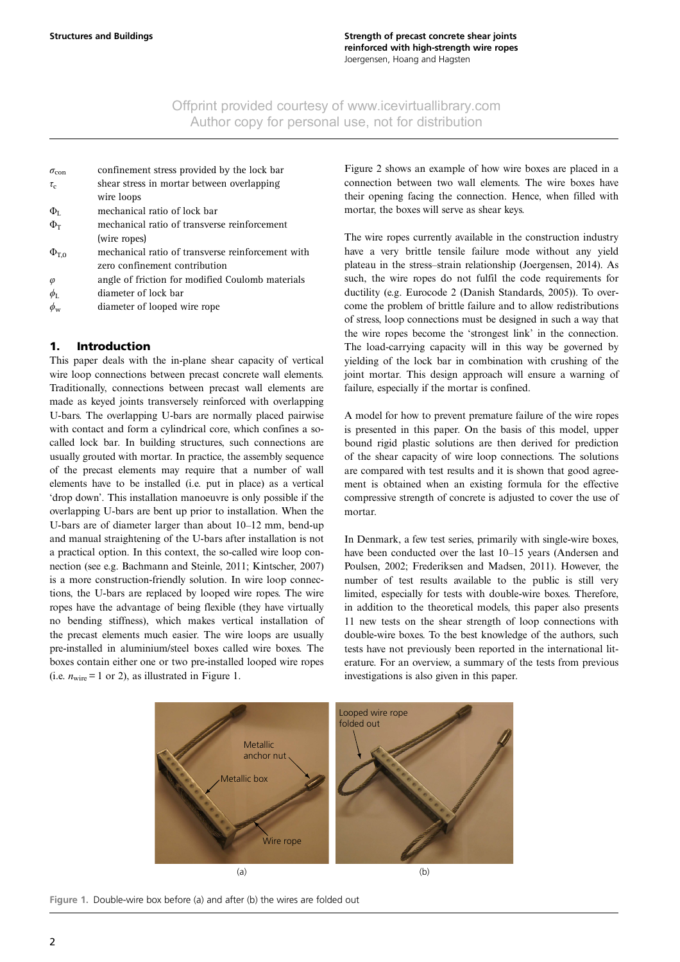| $\sigma_{\rm con}$  | confinement stress provided by the lock bar       |
|---------------------|---------------------------------------------------|
| $\tau_{c}$          | shear stress in mortar between overlapping        |
|                     | wire loops                                        |
| $\Phi_{\rm L}$      | mechanical ratio of lock bar                      |
| $\Phi$ <sub>T</sub> | mechanical ratio of transverse reinforcement      |
|                     | (wire ropes)                                      |
| $\Phi_{\text{T,0}}$ | mechanical ratio of transverse reinforcement with |
|                     | zero confinement contribution                     |
| $\varphi$           | angle of friction for modified Coulomb materials  |
| $\phi_{\rm I}$      | diameter of lock bar                              |
|                     | diameter of looped wire rope                      |

## 1. Introduction

This paper deals with the in-plane shear capacity of vertical wire loop connections between precast concrete wall elements. Traditionally, connections between precast wall elements are made as keyed joints transversely reinforced with overlapping U-bars. The overlapping U-bars are normally placed pairwise with contact and form a cylindrical core, which confines a socalled lock bar. In building structures, such connections are usually grouted with mortar. In practice, the assembly sequence of the precast elements may require that a number of wall elements have to be installed (i.e. put in place) as a vertical 'drop down'. This installation manoeuvre is only possible if the overlapping U-bars are bent up prior to installation. When the U-bars are of diameter larger than about 10–12 mm, bend-up and manual straightening of the U-bars after installation is not a practical option. In this context, the so-called wire loop connection (see e.g. [Bachmann and Steinle, 2011; Kintscher, 2007](#page-12-0)) is a more construction-friendly solution. In wire loop connections, the U-bars are replaced by looped wire ropes. The wire ropes have the advantage of being flexible (they have virtually no bending stiffness), which makes vertical installation of the precast elements much easier. The wire loops are usually pre-installed in aluminium/steel boxes called wire boxes. The boxes contain either one or two pre-installed looped wire ropes (i.e.  $n_{\text{wire}} = 1$  or 2), as illustrated in Figure 1.

[Figure 2](#page-3-0) shows an example of how wire boxes are placed in a connection between two wall elements. The wire boxes have their opening facing the connection. Hence, when filled with mortar, the boxes will serve as shear keys.

The wire ropes currently available in the construction industry have a very brittle tensile failure mode without any yield plateau in the stress–strain relationship [\(Joergensen, 2014](#page-12-0)). As such, the wire ropes do not fulfil the code requirements for ductility (e.g. Eurocode 2 ([Danish Standards, 2005\)](#page-12-0)). To overcome the problem of brittle failure and to allow redistributions of stress, loop connections must be designed in such a way that the wire ropes become the 'strongest link' in the connection. The load-carrying capacity will in this way be governed by yielding of the lock bar in combination with crushing of the joint mortar. This design approach will ensure a warning of failure, especially if the mortar is confined.

A model for how to prevent premature failure of the wire ropes is presented in this paper. On the basis of this model, upper bound rigid plastic solutions are then derived for prediction of the shear capacity of wire loop connections. The solutions are compared with test results and it is shown that good agreement is obtained when an existing formula for the effective compressive strength of concrete is adjusted to cover the use of mortar.

In Denmark, a few test series, primarily with single-wire boxes, have been conducted over the last 10–15 years ([Andersen and](#page-12-0) [Poulsen, 2002; Frederiksen and Madsen, 2011\)](#page-12-0). However, the number of test results available to the public is still very limited, especially for tests with double-wire boxes. Therefore, in addition to the theoretical models, this paper also presents 11 new tests on the shear strength of loop connections with double-wire boxes. To the best knowledge of the authors, such tests have not previously been reported in the international literature. For an overview, a summary of the tests from previous investigations is also given in this paper.



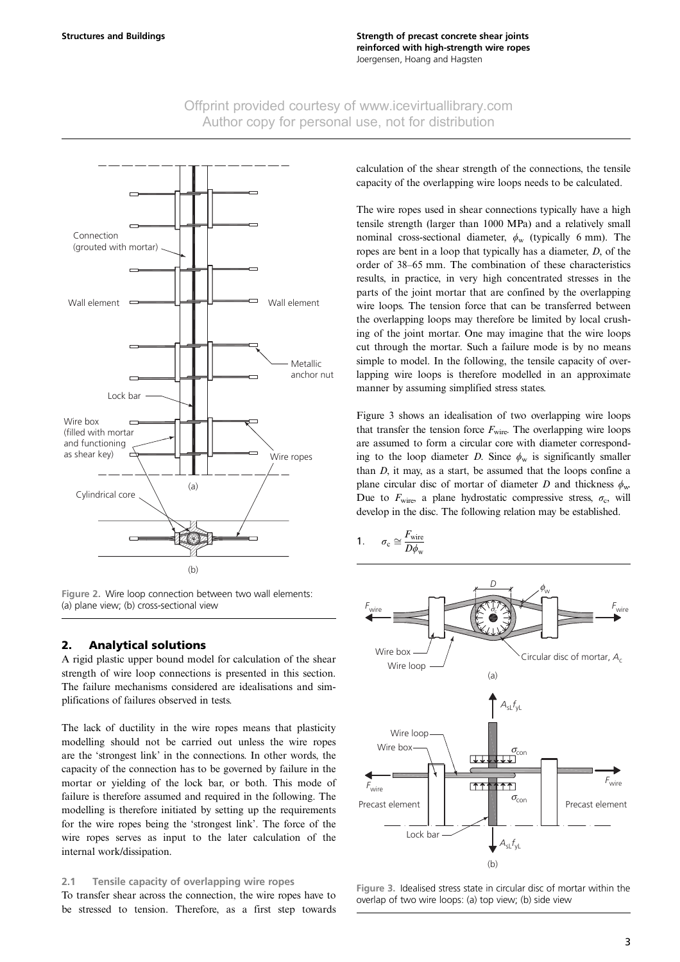<span id="page-3-0"></span>

Figure 2. Wire loop connection between two wall elements: (a) plane view; (b) cross-sectional view

## 2. Analytical solutions

A rigid plastic upper bound model for calculation of the shear strength of wire loop connections is presented in this section. The failure mechanisms considered are idealisations and simplifications of failures observed in tests.

The lack of ductility in the wire ropes means that plasticity modelling should not be carried out unless the wire ropes are the 'strongest link' in the connections. In other words, the capacity of the connection has to be governed by failure in the mortar or yielding of the lock bar, or both. This mode of failure is therefore assumed and required in the following. The modelling is therefore initiated by setting up the requirements for the wire ropes being the 'strongest link'. The force of the wire ropes serves as input to the later calculation of the internal work/dissipation.

#### 2.1 Tensile capacity of overlapping wire ropes

To transfer shear across the connection, the wire ropes have to be stressed to tension. Therefore, as a first step towards calculation of the shear strength of the connections, the tensile capacity of the overlapping wire loops needs to be calculated.

The wire ropes used in shear connections typically have a high tensile strength (larger than 1000 MPa) and a relatively small nominal cross-sectional diameter,  $\phi_w$  (typically 6 mm). The ropes are bent in a loop that typically has a diameter, D, of the order of 38–65 mm. The combination of these characteristics results, in practice, in very high concentrated stresses in the parts of the joint mortar that are confined by the overlapping wire loops. The tension force that can be transferred between the overlapping loops may therefore be limited by local crushing of the joint mortar. One may imagine that the wire loops cut through the mortar. Such a failure mode is by no means simple to model. In the following, the tensile capacity of overlapping wire loops is therefore modelled in an approximate manner by assuming simplified stress states.

Figure 3 shows an idealisation of two overlapping wire loops that transfer the tension force  $F_{\text{wire}}$ . The overlapping wire loops are assumed to form a circular core with diameter corresponding to the loop diameter D. Since  $\phi_w$  is significantly smaller than  $D$ , it may, as a start, be assumed that the loops confine a plane circular disc of mortar of diameter D and thickness  $\phi_{\text{w}}$ . Due to  $F_{\text{wire}}$ , a plane hydrostatic compressive stress,  $\sigma_c$ , will develop in the disc. The following relation may be established.

$$
1. \qquad \sigma_{\rm c} \cong \frac{F_{\rm wire}}{D\phi_{\rm w}}
$$



Figure 3. Idealised stress state in circular disc of mortar within the overlap of two wire loops: (a) top view; (b) side view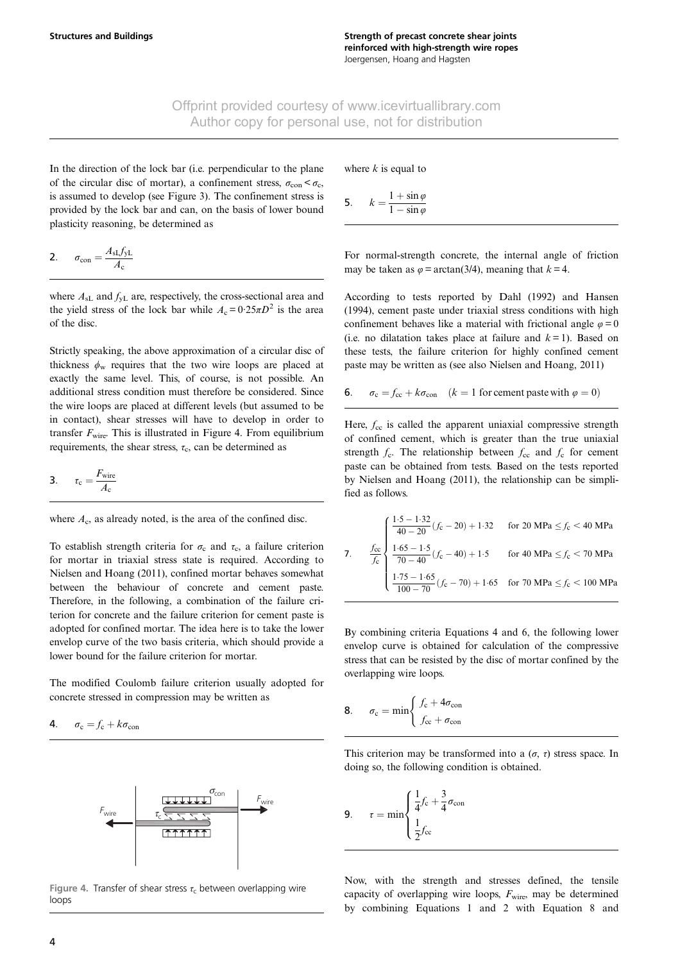<span id="page-4-0"></span>In the direction of the lock bar (i.e. perpendicular to the plane of the circular disc of mortar), a confinement stress,  $\sigma_{\rm con} < \sigma_{\rm c}$ , is assumed to develop (see [Figure 3](#page-3-0)). The confinement stress is provided by the lock bar and can, on the basis of lower bound plasticity reasoning, be determined as

$$
2. \qquad \sigma_{\text{con}} = \frac{A_{\text{sl}} f_{\text{yL}}}{A_{\text{c}}}
$$

where  $A_{sL}$  and  $f_{yL}$  are, respectively, the cross-sectional area and the yield stress of the lock bar while  $A_c = 0.25 \pi D^2$  is the area of the disc.

Strictly speaking, the above approximation of a circular disc of thickness  $\phi_w$  requires that the two wire loops are placed at exactly the same level. This, of course, is not possible. An additional stress condition must therefore be considered. Since the wire loops are placed at different levels (but assumed to be in contact), shear stresses will have to develop in order to transfer  $F_{\text{wire}}$ . This is illustrated in Figure 4. From equilibrium requirements, the shear stress,  $\tau_c$ , can be determined as

$$
3. \qquad \tau_{\rm c} = \frac{F_{\rm wire}}{A_{\rm c}}
$$

where  $A_c$ , as already noted, is the area of the confined disc.

To establish strength criteria for  $\sigma_c$  and  $\tau_c$ , a failure criterion for mortar in triaxial stress state is required. According to [Nielsen and Hoang \(2011\)](#page-12-0), confined mortar behaves somewhat between the behaviour of concrete and cement paste. Therefore, in the following, a combination of the failure criterion for concrete and the failure criterion for cement paste is adopted for confined mortar. The idea here is to take the lower envelop curve of the two basis criteria, which should provide a lower bound for the failure criterion for mortar.

The modified Coulomb failure criterion usually adopted for concrete stressed in compression may be written as

$$
4. \qquad \sigma_{\rm c} = f_{\rm c} + k \sigma_{\rm con}
$$



Figure 4. Transfer of shear stress  $\tau_c$  between overlapping wire loops

where  $k$  is equal to

5. 
$$
k = \frac{1 + \sin \varphi}{1 - \sin \varphi}
$$

For normal-strength concrete, the internal angle of friction may be taken as  $\varphi = \arctan(3/4)$ , meaning that  $k = 4$ .

According to tests reported by [Dahl \(1992\)](#page-12-0) and [Hansen](#page-12-0) [\(1994\)](#page-12-0), cement paste under triaxial stress conditions with high confinement behaves like a material with frictional angle  $\varphi = 0$ (i.e. no dilatation takes place at failure and  $k = 1$ ). Based on these tests, the failure criterion for highly confined cement paste may be written as (see also [Nielsen and Hoang, 2011](#page-12-0))

6. 
$$
\sigma_c = f_{cc} + k\sigma_{con}
$$
  $(k = 1 \text{ for cement paste with } \varphi = 0)$ 

Here,  $f_{\rm cc}$  is called the apparent uniaxial compressive strength of confined cement, which is greater than the true uniaxial strength  $f_c$ . The relationship between  $f_{cc}$  and  $f_c$  for cement paste can be obtained from tests. Based on the tests reported by [Nielsen and Hoang \(2011\)](#page-12-0), the relationship can be simplified as follows.

7. 
$$
\frac{f_{cc}}{f_c} \begin{cases} \frac{1.5 - 1.32}{40 - 20} (f_c - 20) + 1.32 & \text{for } 20 \text{ MPa } \le f_c < 40 \text{ MPa} \\ \frac{1.65 - 1.5}{70 - 40} (f_c - 40) + 1.5 & \text{for } 40 \text{ MPa } \le f_c < 70 \text{ MPa} \\ \frac{1.75 - 1.65}{100 - 70} (f_c - 70) + 1.65 & \text{for } 70 \text{ MPa } \le f_c < 100 \text{ MPa} \end{cases}
$$

By combining criteria Equations 4 and 6, the following lower envelop curve is obtained for calculation of the compressive stress that can be resisted by the disc of mortar confined by the overlapping wire loops.

$$
8. \qquad \sigma_{\rm c} = \min \left\{ \frac{f_{\rm c} + 4\sigma_{\rm con}}{f_{\rm cc} + \sigma_{\rm con}} \right.
$$

This criterion may be transformed into a  $(\sigma, \tau)$  stress space. In doing so, the following condition is obtained.

$$
9. \qquad \tau = \min \begin{cases} \frac{1}{4}f_c + \frac{3}{4}\sigma_{\text{con}}\\ \frac{1}{2}f_{\text{cc}} \end{cases}
$$

Now, with the strength and stresses defined, the tensile capacity of overlapping wire loops,  $F_{\text{wire}}$ , may be determined by combining [Equations 1](#page-3-0) and 2 with Equation 8 and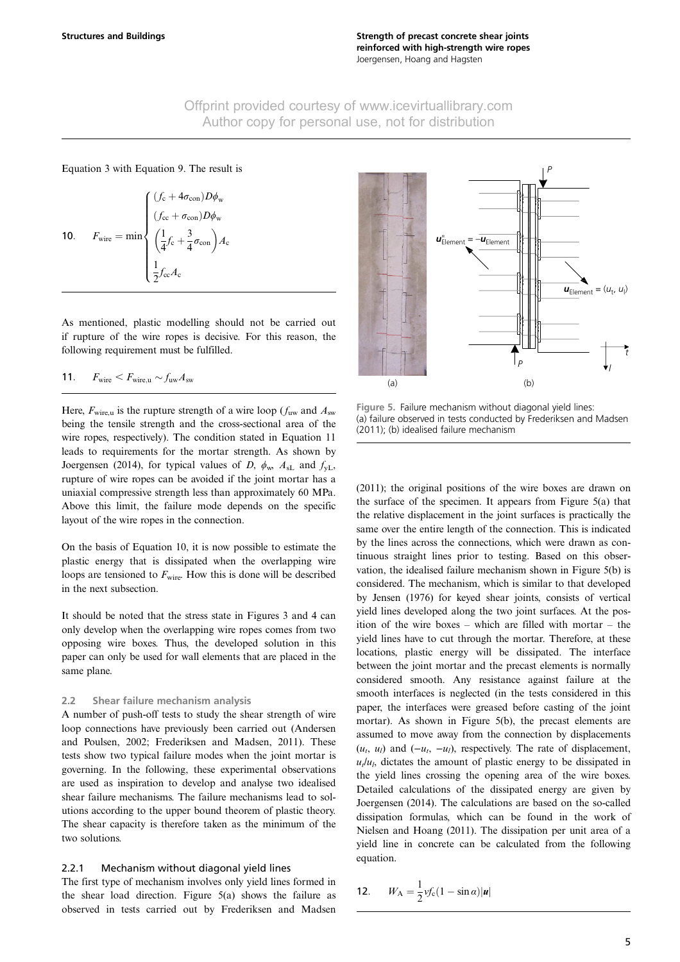<span id="page-5-0"></span>[Equation 3](#page-4-0) with [Equation 9](#page-4-0). The result is

**10.**  $F_{\text{wire}} = \min$  $(f_c + 4\sigma_{con})D\phi_w$  $(f_{\rm cc} + \sigma_{\rm con})D\phi_{\rm w}$ 1  $\frac{1}{4}f_c + \frac{3}{4}$  $\left(\frac{1}{4}f_c + \frac{3}{4}\sigma_{\text{con}}\right)A_c$ 1  $\frac{1}{2}f_{\rm cc}A_{\rm c}$  $\int$  $\overline{\phantom{a}}$ 

As mentioned, plastic modelling should not be carried out if rupture of the wire ropes is decisive. For this reason, the following requirement must be fulfilled.

$$
11. \tF_{\text{wire}} < F_{\text{wire,u}} \sim f_{\text{uw}} A_{\text{sw}}
$$

Here,  $F_{\text{wire}, u}$  is the rupture strength of a wire loop ( $f_{\text{uw}}$  and  $A_{\text{sw}}$ being the tensile strength and the cross-sectional area of the wire ropes, respectively). The condition stated in Equation 11 leads to requirements for the mortar strength. As shown by [Joergensen \(2014\)](#page-12-0), for typical values of D,  $\phi_w$ ,  $A_{sL}$  and  $f_{yL}$ , rupture of wire ropes can be avoided if the joint mortar has a uniaxial compressive strength less than approximately 60 MPa. Above this limit, the failure mode depends on the specific layout of the wire ropes in the connection.

On the basis of Equation 10, it is now possible to estimate the plastic energy that is dissipated when the overlapping wire loops are tensioned to  $F_{\text{wire}}$ . How this is done will be described in the next subsection.

It should be noted that the stress state in [Figures 3 and 4](#page-3-0) can only develop when the overlapping wire ropes comes from two opposing wire boxes. Thus, the developed solution in this paper can only be used for wall elements that are placed in the same plane.

#### 2.2 Shear failure mechanism analysis

A number of push-off tests to study the shear strength of wire loop connections have previously been carried out ([Andersen](#page-12-0) [and Poulsen, 2002](#page-12-0); [Frederiksen and Madsen, 2011](#page-12-0)). These tests show two typical failure modes when the joint mortar is governing. In the following, these experimental observations are used as inspiration to develop and analyse two idealised shear failure mechanisms. The failure mechanisms lead to solutions according to the upper bound theorem of plastic theory. The shear capacity is therefore taken as the minimum of the two solutions.

#### 2.2.1 Mechanism without diagonal yield lines

The first type of mechanism involves only yield lines formed in the shear load direction. Figure 5(a) shows the failure as observed in tests carried out by [Frederiksen and Madsen](#page-12-0)



Figure 5. Failure mechanism without diagonal yield lines: (a) failure observed in tests conducted by [Frederiksen and Madsen](#page-12-0) [\(2011\)](#page-12-0); (b) idealised failure mechanism

[\(2011\);](#page-12-0) the original positions of the wire boxes are drawn on the surface of the specimen. It appears from Figure 5(a) that the relative displacement in the joint surfaces is practically the same over the entire length of the connection. This is indicated by the lines across the connections, which were drawn as continuous straight lines prior to testing. Based on this observation, the idealised failure mechanism shown in Figure 5(b) is considered. The mechanism, which is similar to that developed by [Jensen \(1976\)](#page-12-0) for keyed shear joints, consists of vertical yield lines developed along the two joint surfaces. At the position of the wire boxes – which are filled with mortar – the yield lines have to cut through the mortar. Therefore, at these locations, plastic energy will be dissipated. The interface between the joint mortar and the precast elements is normally considered smooth. Any resistance against failure at the smooth interfaces is neglected (in the tests considered in this paper, the interfaces were greased before casting of the joint mortar). As shown in Figure 5(b), the precast elements are assumed to move away from the connection by displacements  $(u_t, u_l)$  and  $(-u_t, -u_l)$ , respectively. The rate of displacement,  $u_l/u_l$ , dictates the amount of plastic energy to be dissipated in the yield lines crossing the opening area of the wire boxes. Detailed calculations of the dissipated energy are given by [Joergensen \(2014\).](#page-12-0) The calculations are based on the so-called dissipation formulas, which can be found in the work of [Nielsen and Hoang \(2011\).](#page-12-0) The dissipation per unit area of a yield line in concrete can be calculated from the following equation.

$$
12. \qquad W_{\rm A} = \frac{1}{2} v f_{\rm c} (1 - \sin \alpha) |\mathbf{u}|
$$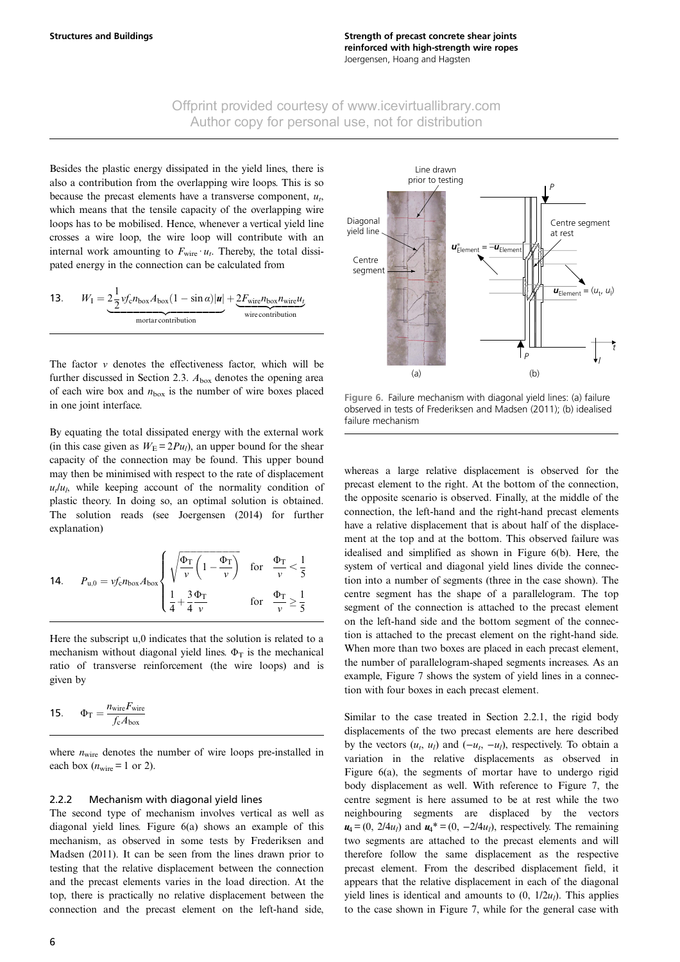<span id="page-6-0"></span>Besides the plastic energy dissipated in the yield lines, there is also a contribution from the overlapping wire loops. This is so because the precast elements have a transverse component,  $u_t$ , which means that the tensile capacity of the overlapping wire loops has to be mobilised. Hence, whenever a vertical yield line crosses a wire loop, the wire loop will contribute with an internal work amounting to  $F_{\text{wire}} \cdot u_t$ . Thereby, the total dissipated energy in the connection can be calculated from

| 13. | $W_{\rm I} = 2\frac{1}{2}v f_{\rm c} n_{\rm box} A_{\rm box} (1 - \sin \alpha)  u  + 2F_{\rm wire} n_{\rm box} n_{\rm wire} u_{\rm L}$ |                   |  |  |
|-----|----------------------------------------------------------------------------------------------------------------------------------------|-------------------|--|--|
|     | mortar contribution                                                                                                                    | wire contribution |  |  |

The factor  $v$  denotes the effectiveness factor, which will be further discussed in Section 2.3.  $A_{\text{box}}$  denotes the opening area of each wire box and  $n_{\text{box}}$  is the number of wire boxes placed in one joint interface.

By equating the total dissipated energy with the external work (in this case given as  $W_E = 2Pu_l$ ), an upper bound for the shear capacity of the connection may be found. This upper bound may then be minimised with respect to the rate of displacement  $u_t/u_t$ , while keeping account of the normality condition of plastic theory. In doing so, an optimal solution is obtained. The solution reads (see [Joergensen \(2014\)](#page-12-0) for further explanation)

14. 
$$
P_{u,0} = v f_c n_{box} A_{box} \left\{ \sqrt{\frac{\Phi_T}{v} \left( 1 - \frac{\Phi_T}{v} \right)} \text{ for } \frac{\Phi_T}{v} < \frac{1}{5}
$$
  
 $\frac{1}{4} + \frac{3}{4} \frac{\Phi_T}{v} \text{ for } \frac{\Phi_T}{v} \ge \frac{1}{5}$ 

Here the subscript u,0 indicates that the solution is related to a mechanism without diagonal yield lines.  $\Phi_T$  is the mechanical ratio of transverse reinforcement (the wire loops) and is given by

$$
15. \qquad \Phi_{T} = \frac{n_{\text{wire}} F_{\text{wire}}}{f_{c} A_{\text{box}}}
$$

where  $n_{\text{wire}}$  denotes the number of wire loops pre-installed in each box  $(n_{\text{wire}} = 1 \text{ or } 2)$ .

#### 2.2.2 Mechanism with diagonal yield lines

The second type of mechanism involves vertical as well as diagonal yield lines. Figure 6(a) shows an example of this mechanism, as observed in some tests by [Frederiksen and](#page-12-0) [Madsen \(2011\)](#page-12-0). It can be seen from the lines drawn prior to testing that the relative displacement between the connection and the precast elements varies in the load direction. At the top, there is practically no relative displacement between the connection and the precast element on the left-hand side,



Figure 6. Failure mechanism with diagonal yield lines: (a) failure observed in tests of [Frederiksen and Madsen \(2011\);](#page-12-0) (b) idealised failure mechanism

whereas a large relative displacement is observed for the precast element to the right. At the bottom of the connection, the opposite scenario is observed. Finally, at the middle of the connection, the left-hand and the right-hand precast elements have a relative displacement that is about half of the displacement at the top and at the bottom. This observed failure was idealised and simplified as shown in Figure 6(b). Here, the system of vertical and diagonal yield lines divide the connection into a number of segments (three in the case shown). The centre segment has the shape of a parallelogram. The top segment of the connection is attached to the precast element on the left-hand side and the bottom segment of the connection is attached to the precast element on the right-hand side. When more than two boxes are placed in each precast element, the number of parallelogram-shaped segments increases. As an example, [Figure 7](#page-7-0) shows the system of yield lines in a connection with four boxes in each precast element.

Similar to the case treated in Section 2.2.1, the rigid body displacements of the two precast elements are here described by the vectors  $(u_t, u_l)$  and  $(-u_t, -u_l)$ , respectively. To obtain a variation in the relative displacements as observed in Figure 6(a), the segments of mortar have to undergo rigid body displacement as well. With reference to [Figure 7](#page-7-0), the centre segment is here assumed to be at rest while the two neighbouring segments are displaced by the vectors  $u_4 = (0, 2/4u_1)$  and  $u_4^* = (0, -2/4u_1)$ , respectively. The remaining two segments are attached to the precast elements and will therefore follow the same displacement as the respective precast element. From the described displacement field, it appears that the relative displacement in each of the diagonal yield lines is identical and amounts to  $(0, 1/2u)$ . This applies to the case shown in [Figure 7](#page-7-0), while for the general case with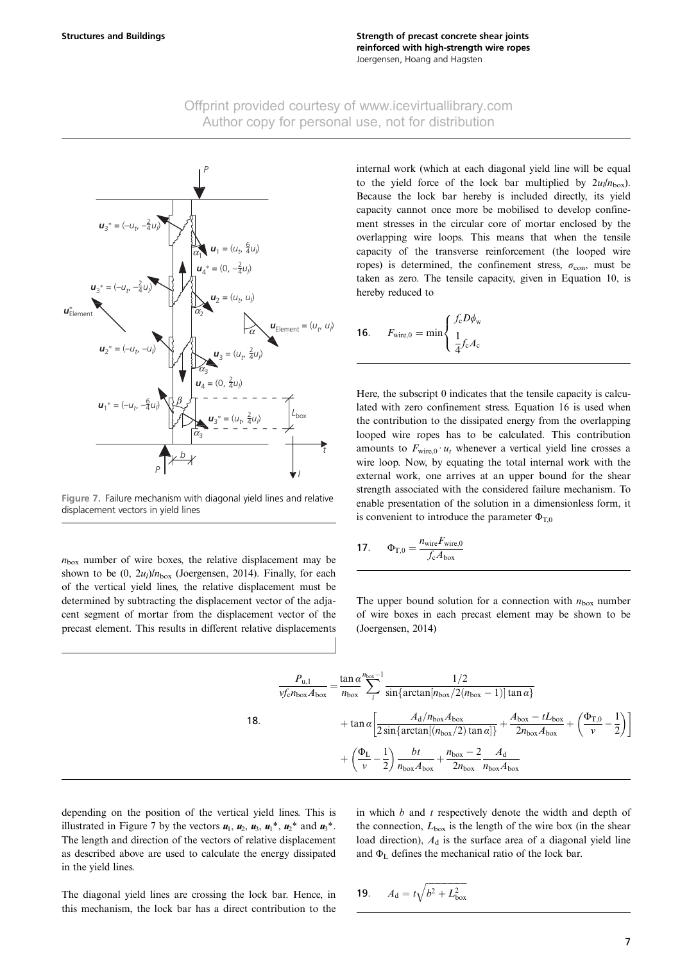<span id="page-7-0"></span>

Figure 7. Failure mechanism with diagonal yield lines and relative displacement vectors in yield lines

 $n_{\text{box}}$  number of wire boxes, the relative displacement may be shown to be  $(0, 2u_l)/n_{\text{box}}$  ([Joergensen, 2014\)](#page-12-0). Finally, for each of the vertical yield lines, the relative displacement must be determined by subtracting the displacement vector of the adjacent segment of mortar from the displacement vector of the precast element. This results in different relative displacements

18:

internal work (which at each diagonal yield line will be equal to the yield force of the lock bar multiplied by  $2u/h_{\text{box}}$ . Because the lock bar hereby is included directly, its yield capacity cannot once more be mobilised to develop confinement stresses in the circular core of mortar enclosed by the overlapping wire loops. This means that when the tensile capacity of the transverse reinforcement (the looped wire ropes) is determined, the confinement stress,  $\sigma_{\text{con}}$ , must be taken as zero. The tensile capacity, given in [Equation 10](#page-5-0), is hereby reduced to

$$
\textbf{16.} \qquad F_{\text{wire},0} = \min \left\{ \begin{array}{l} f_{\text{c}} D\phi_{\text{w}} \\ \frac{1}{4} f_{\text{c}} A_{\text{c}} \end{array} \right.
$$

Here, the subscript 0 indicates that the tensile capacity is calculated with zero confinement stress. Equation 16 is used when the contribution to the dissipated energy from the overlapping looped wire ropes has to be calculated. This contribution amounts to  $F_{\text{wire},0} \cdot u_t$  whenever a vertical yield line crosses a wire loop. Now, by equating the total internal work with the external work, one arrives at an upper bound for the shear strength associated with the considered failure mechanism. To enable presentation of the solution in a dimensionless form, it is convenient to introduce the parameter  $\Phi_{T,0}$ 

$$
17. \qquad \Phi_{\text{T},0} = \frac{n_{\text{wire}} F_{\text{wire},0}}{f_{\text{c}} A_{\text{box}}}
$$

The upper bound solution for a connection with  $n_{\text{box}}$  number of wire boxes in each precast element may be shown to be ([Joergensen, 2014\)](#page-12-0)

$$
\frac{P_{u,1}}{v f_c n_{\text{box}} A_{\text{box}}} = \frac{\tan \alpha}{n_{\text{box}}} \sum_{i}^{n_{\text{box}}} \frac{1/2}{\sin \{ \arctan[n_{\text{box}}/2(n_{\text{box}}-1)] \tan \alpha \}}
$$
  
+ 
$$
\tan \alpha \left[ \frac{A_d/n_{\text{box}} A_{\text{box}}}{2 \sin \{ \arctan[(n_{\text{box}}/2) \tan \alpha] \}} + \frac{A_{\text{box}} - t L_{\text{box}}}{2 n_{\text{box}} A_{\text{box}}} + \left( \frac{\Phi_{\text{T},0}}{v} - \frac{1}{2} \right) \right]
$$
  
+ 
$$
\left( \frac{\Phi_{\text{L}}}{v} - \frac{1}{2} \right) \frac{b t}{n_{\text{box}} A_{\text{box}}} + \frac{n_{\text{box}} - 2}{2 n_{\text{box}} A_{\text{box}}} \frac{A_d}{n_{\text{box}} A_{\text{box}}}
$$

depending on the position of the vertical yield lines. This is illustrated in Figure 7 by the vectors  $u_1$ ,  $u_2$ ,  $u_3$ ,  $u_1^*$ ,  $u_2^*$  and  $u_3^*$ . The length and direction of the vectors of relative displacement as described above are used to calculate the energy dissipated in the yield lines.

in which  $b$  and  $t$  respectively denote the width and depth of the connection,  $L_{\text{box}}$  is the length of the wire box (in the shear load direction),  $A_d$  is the surface area of a diagonal yield line and  $\Phi_L$  defines the mechanical ratio of the lock bar.

The diagonal yield lines are crossing the lock bar. Hence, in this mechanism, the lock bar has a direct contribution to the

**19.** 
$$
A_d = t\sqrt{b^2 + L_{box}^2}
$$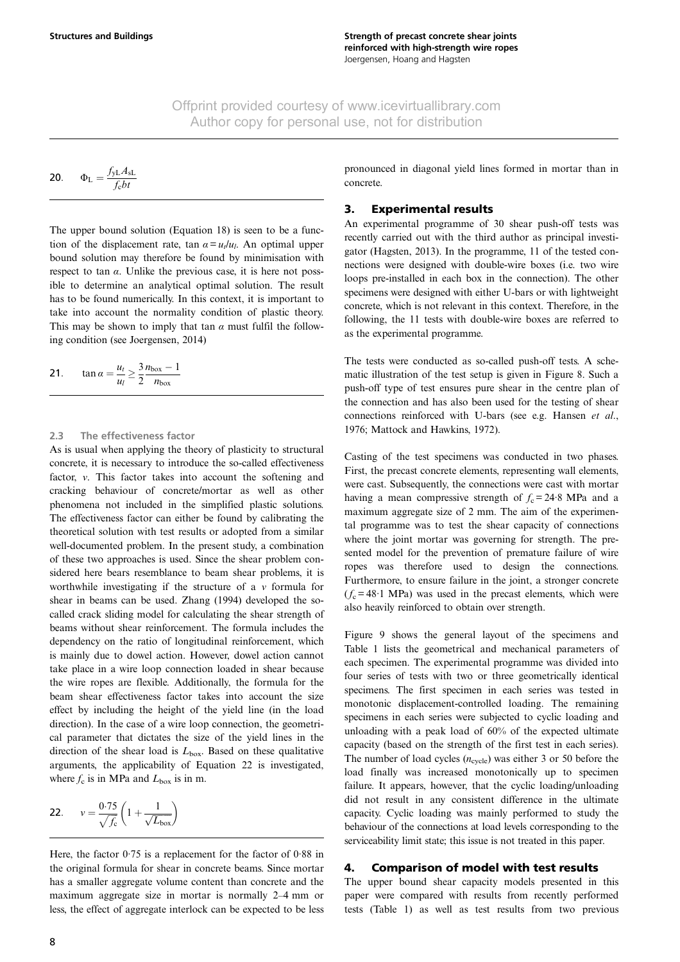<span id="page-8-0"></span>
$$
20. \qquad \Phi_{L} = \frac{f_{yL} A_{sL}}{f_{c}bt}
$$

The upper bound solution [\(Equation 18](#page-7-0)) is seen to be a function of the displacement rate, tan  $\alpha = u_t/u_t$ . An optimal upper bound solution may therefore be found by minimisation with respect to tan  $\alpha$ . Unlike the previous case, it is here not possible to determine an analytical optimal solution. The result has to be found numerically. In this context, it is important to take into account the normality condition of plastic theory. This may be shown to imply that tan  $\alpha$  must fulfil the following condition (see [Joergensen, 2014\)](#page-12-0)

$$
21. \qquad \tan \alpha = \frac{u_t}{u_l} \ge \frac{3}{2} \frac{n_{\text{box}} - 1}{n_{\text{box}}}
$$

#### 2.3 The effectiveness factor

As is usual when applying the theory of plasticity to structural concrete, it is necessary to introduce the so-called effectiveness factor, ν. This factor takes into account the softening and cracking behaviour of concrete/mortar as well as other phenomena not included in the simplified plastic solutions. The effectiveness factor can either be found by calibrating the theoretical solution with test results or adopted from a similar well-documented problem. In the present study, a combination of these two approaches is used. Since the shear problem considered here bears resemblance to beam shear problems, it is worthwhile investigating if the structure of a  $\nu$  formula for shear in beams can be used. [Zhang \(1994\)](#page-12-0) developed the socalled crack sliding model for calculating the shear strength of beams without shear reinforcement. The formula includes the dependency on the ratio of longitudinal reinforcement, which is mainly due to dowel action. However, dowel action cannot take place in a wire loop connection loaded in shear because the wire ropes are flexible. Additionally, the formula for the beam shear effectiveness factor takes into account the size effect by including the height of the yield line (in the load direction). In the case of a wire loop connection, the geometrical parameter that dictates the size of the yield lines in the direction of the shear load is  $L_{\text{box}}$ . Based on these qualitative arguments, the applicability of Equation 22 is investigated, where  $f_c$  is in MPa and  $L_{box}$  is in m.

$$
22. \qquad v = \frac{0.75}{\sqrt{f_c}} \left( 1 + \frac{1}{\sqrt{L_{box}}} \right)
$$

Here, the factor 0·75 is a replacement for the factor of 0·88 in the original formula for shear in concrete beams. Since mortar has a smaller aggregate volume content than concrete and the maximum aggregate size in mortar is normally 2–4 mm or less, the effect of aggregate interlock can be expected to be less pronounced in diagonal yield lines formed in mortar than in concrete.

#### 3. Experimental results

An experimental programme of 30 shear push-off tests was recently carried out with the third author as principal investigator ([Hagsten, 2013](#page-12-0)). In the programme, 11 of the tested connections were designed with double-wire boxes (i.e. two wire loops pre-installed in each box in the connection). The other specimens were designed with either U-bars or with lightweight concrete, which is not relevant in this context. Therefore, in the following, the 11 tests with double-wire boxes are referred to as the experimental programme.

The tests were conducted as so-called push-off tests. A schematic illustration of the test setup is given in [Figure 8](#page-9-0). Such a push-off type of test ensures pure shear in the centre plan of the connection and has also been used for the testing of shear connections reinforced with U-bars (see e.g. [Hansen](#page-12-0) et al., [1976](#page-12-0); [Mattock and Hawkins, 1972\)](#page-12-0).

Casting of the test specimens was conducted in two phases. First, the precast concrete elements, representing wall elements, were cast. Subsequently, the connections were cast with mortar having a mean compressive strength of  $f_c = 24.8$  MPa and a maximum aggregate size of 2 mm. The aim of the experimental programme was to test the shear capacity of connections where the joint mortar was governing for strength. The presented model for the prevention of premature failure of wire ropes was therefore used to design the connections. Furthermore, to ensure failure in the joint, a stronger concrete  $(f_c = 48.1 \text{ MPa})$  was used in the precast elements, which were also heavily reinforced to obtain over strength.

[Figure 9](#page-9-0) shows the general layout of the specimens and [Table 1](#page-10-0) lists the geometrical and mechanical parameters of each specimen. The experimental programme was divided into four series of tests with two or three geometrically identical specimens. The first specimen in each series was tested in monotonic displacement-controlled loading. The remaining specimens in each series were subjected to cyclic loading and unloading with a peak load of 60% of the expected ultimate capacity (based on the strength of the first test in each series). The number of load cycles  $(n_{\text{cycle}})$  was either 3 or 50 before the load finally was increased monotonically up to specimen failure. It appears, however, that the cyclic loading/unloading did not result in any consistent difference in the ultimate capacity. Cyclic loading was mainly performed to study the behaviour of the connections at load levels corresponding to the serviceability limit state; this issue is not treated in this paper.

#### 4. Comparison of model with test results

The upper bound shear capacity models presented in this paper were compared with results from recently performed tests ([Table 1\)](#page-10-0) as well as test results from two previous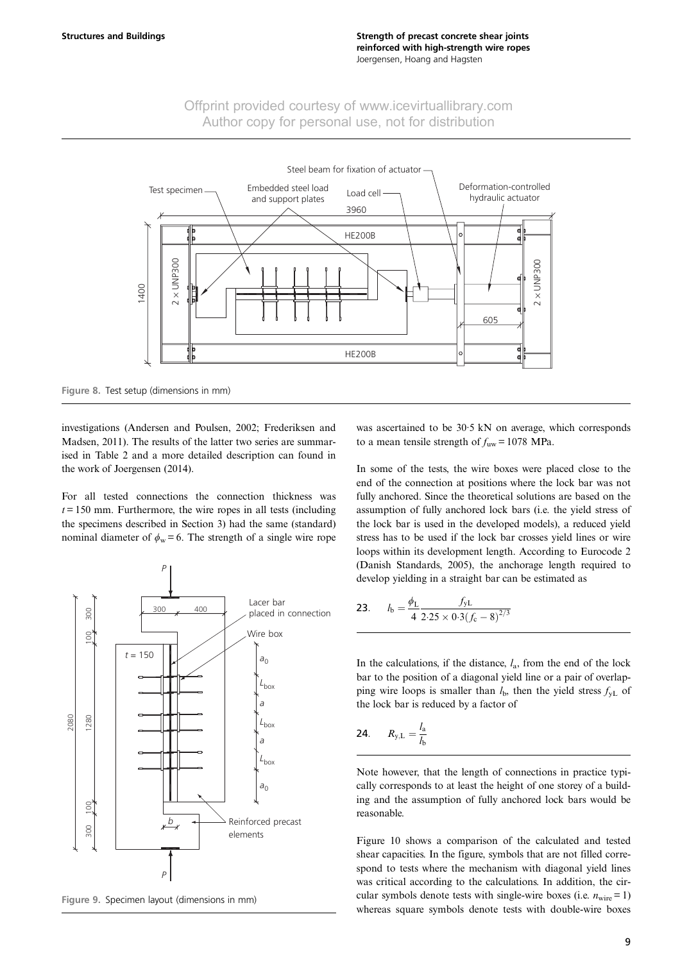<span id="page-9-0"></span>

Figure 8. Test setup (dimensions in mm)

investigations ([Andersen and Poulsen, 2002](#page-12-0); [Frederiksen and](#page-12-0) [Madsen, 2011](#page-12-0)). The results of the latter two series are summarised in [Table 2](#page-10-0) and a more detailed description can found in the work of [Joergensen \(2014\)](#page-12-0).

For all tested connections the connection thickness was  $t = 150$  mm. Furthermore, the wire ropes in all tests (including the specimens described in Section 3) had the same (standard) nominal diameter of  $\phi_w = 6$ . The strength of a single wire rope



Figure 9. Specimen layout (dimensions in mm)

was ascertained to be 30·5 kN on average, which corresponds to a mean tensile strength of  $f_{uw} = 1078$  MPa.

In some of the tests, the wire boxes were placed close to the end of the connection at positions where the lock bar was not fully anchored. Since the theoretical solutions are based on the assumption of fully anchored lock bars (i.e. the yield stress of the lock bar is used in the developed models), a reduced yield stress has to be used if the lock bar crosses yield lines or wire loops within its development length. According to Eurocode 2 ([Danish Standards, 2005\)](#page-12-0), the anchorage length required to develop yielding in a straight bar can be estimated as

23. 
$$
l_{\text{b}} = \frac{\phi_{\text{L}}}{4} \frac{f_{\text{yL}}}{2.25 \times 0.3 (f_{\text{c}} - 8)^{2/3}}
$$

In the calculations, if the distance,  $l_a$ , from the end of the lock bar to the position of a diagonal yield line or a pair of overlapping wire loops is smaller than  $l<sub>b</sub>$ , then the yield stress  $f<sub>yL</sub>$  of the lock bar is reduced by a factor of

$$
24. \qquad R_{y,L} = \frac{l_a}{l_b}
$$

Note however, that the length of connections in practice typically corresponds to at least the height of one storey of a building and the assumption of fully anchored lock bars would be reasonable.

[Figure 10](#page-11-0) shows a comparison of the calculated and tested shear capacities. In the figure, symbols that are not filled correspond to tests where the mechanism with diagonal yield lines was critical according to the calculations. In addition, the circular symbols denote tests with single-wire boxes (i.e.  $n_{\text{wire}} = 1$ ) whereas square symbols denote tests with double-wire boxes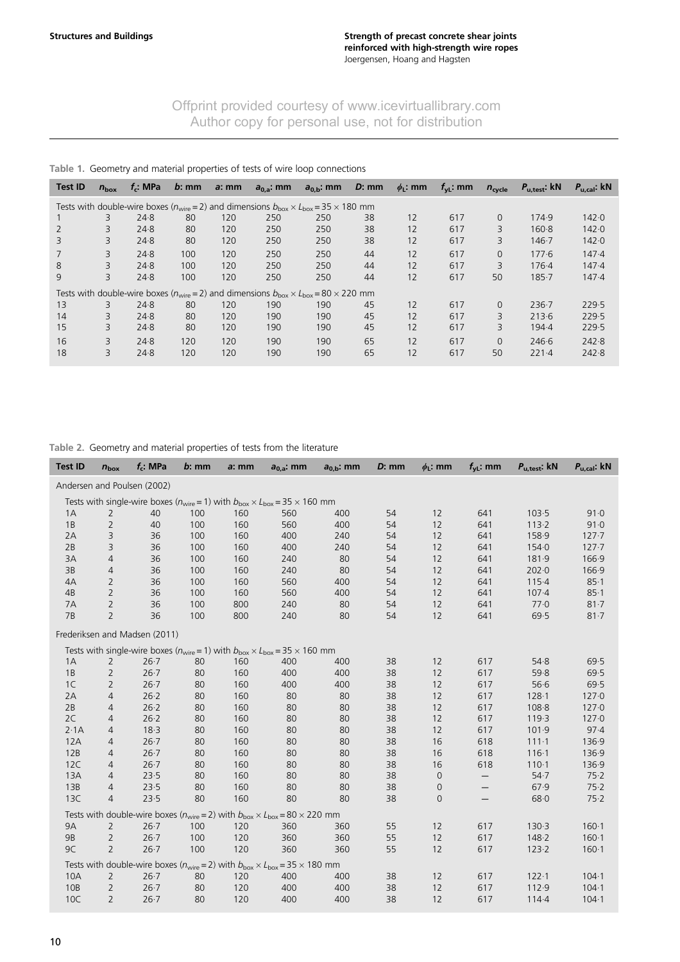# <span id="page-10-0"></span>Table 1. Geometry and material properties of tests of wire loop connections

| <b>Test ID</b>                                                                                                                  | $n_{\text{box}}$ | $f_c$ : MPa | $b$ : mm | $a: \mathsf{mm}$ | $a_{0,a}$ : mm | $a_{0,b}$ : mm | $D:$ mm | $\phi_L$ : mm | $f_{\rm vL}$ : mm | $n_{\text{cycle}}$ | $P_{u,\text{test}}$ : kN | $P_{u,cal}$ : kN |
|---------------------------------------------------------------------------------------------------------------------------------|------------------|-------------|----------|------------------|----------------|----------------|---------|---------------|-------------------|--------------------|--------------------------|------------------|
| Tests with double-wire boxes ( $n_{\text{wire}} = 2$ ) and dimensions $b_{\text{box}} \times L_{\text{box}} = 35 \times 180$ mm |                  |             |          |                  |                |                |         |               |                   |                    |                          |                  |
|                                                                                                                                 | 3                | 24.8        | 80       | 120              | 250            | 250            | 38      | 12            | 617               | $\Omega$           | 174.9                    | 142.0            |
| 2                                                                                                                               | 3                | 24.8        | 80       | 120              | 250            | 250            | 38      | 12            | 617               | 3                  | $160 - 8$                | 142.0            |
| 3                                                                                                                               | 3                | 24.8        | 80       | 120              | 250            | 250            | 38      | 12            | 617               | 3                  | $146 - 7$                | 142.0            |
|                                                                                                                                 | 3                | 24.8        | 100      | 120              | 250            | 250            | 44      | 12            | 617               | $\Omega$           | 177.6                    | 147.4            |
| 8                                                                                                                               | 3                | 24.8        | 100      | 120              | 250            | 250            | 44      | 12            | 617               | 3                  | 176.4                    | 147.4            |
| 9                                                                                                                               | 3                | 24.8        | 100      | 120              | 250            | 250            | 44      | 12            | 617               | 50                 | $185 - 7$                | 147.4            |
| Tests with double-wire boxes ( $n_{\text{wire}} = 2$ ) and dimensions $b_{\text{box}} \times L_{\text{box}} = 80 \times 220$ mm |                  |             |          |                  |                |                |         |               |                   |                    |                          |                  |
| 13                                                                                                                              | 3                | 24.8        | 80       | 120              | 190            | 190            | 45      | 12            | 617               | $\Omega$           | $236 - 7$                | 229.5            |
| 14                                                                                                                              | 3                | 24.8        | 80       | 120              | 190            | 190            | 45      | 12            | 617               | 3                  | 213.6                    | 229.5            |
| 15                                                                                                                              | 3                | 24.8        | 80       | 120              | 190            | 190            | 45      | 12            | 617               | 3                  | 194.4                    | 229.5            |
| 16                                                                                                                              | 3                | 24.8        | 120      | 120              | 190            | 190            | 65      | 12            | 617               | $\Omega$           | 246.6                    | 242.8            |
| 18                                                                                                                              | 3                | 24.8        | 120      | 120              | 190            | 190            | 65      | 12            | 617               | 50                 | $221-4$                  | 242.8            |

# Table 2. Geometry and material properties of tests from the literature

| <b>Test ID</b>                                                                                   | $n_{\text{box}}$ | $f_c$ : MPa                   | $b:$ mm | a: mm | $a_{0,a}$ : mm                                                                                   | $a_{0,b}$ : mm | $D:$ mm | $\phi_L$ : mm  | $f_{\text{VL}}$ : mm | $P_{u,\text{test}}$ : $kN$ | $P_{u,cal}$ : kN |
|--------------------------------------------------------------------------------------------------|------------------|-------------------------------|---------|-------|--------------------------------------------------------------------------------------------------|----------------|---------|----------------|----------------------|----------------------------|------------------|
| Andersen and Poulsen (2002)                                                                      |                  |                               |         |       |                                                                                                  |                |         |                |                      |                            |                  |
| Tests with single-wire boxes ( $n_{wire} = 1$ ) with $b_{box} \times L_{box} = 35 \times 160$ mm |                  |                               |         |       |                                                                                                  |                |         |                |                      |                            |                  |
| 1A                                                                                               | $\overline{2}$   | 40                            | 100     | 160   | 560                                                                                              | 400            | 54      | 12             | 641                  | 103.5                      | 91.0             |
| 1B                                                                                               | $\overline{2}$   | 40                            | 100     | 160   | 560                                                                                              | 400            | 54      | 12             | 641                  | 113.2                      | 91.0             |
| 2A                                                                                               | 3                | 36                            | 100     | 160   | 400                                                                                              | 240            | 54      | 12             | 641                  | 158.9                      | $127 - 7$        |
| 2B                                                                                               | 3                | 36                            | 100     | 160   | 400                                                                                              | 240            | 54      | 12             | 641                  | 154.0                      | $127 - 7$        |
| 3A                                                                                               | $\overline{4}$   | 36                            | 100     | 160   | 240                                                                                              | 80             | 54      | 12             | 641                  | 181.9                      | 166.9            |
| 3B                                                                                               | $\overline{4}$   | 36                            | 100     | 160   | 240                                                                                              | 80             | 54      | 12             | 641                  | 202.0                      | 166.9            |
| 4A                                                                                               | $\overline{2}$   | 36                            | 100     | 160   | 560                                                                                              | 400            | 54      | 12             | 641                  | 115.4                      | 85.1             |
| 4B                                                                                               | $\overline{2}$   | 36                            | 100     | 160   | 560                                                                                              | 400            | 54      | 12             | 641                  | $107 - 4$                  | 85.1             |
| 7A                                                                                               | $\overline{2}$   | 36                            | 100     | 800   | 240                                                                                              | 80             | 54      | 12             | 641                  | 77.0                       | $81 - 7$         |
| 7B                                                                                               | $\overline{2}$   | 36                            | 100     | 800   | 240                                                                                              | 80             | 54      | 12             | 641                  | 69.5                       | $81 - 7$         |
|                                                                                                  |                  | Frederiksen and Madsen (2011) |         |       |                                                                                                  |                |         |                |                      |                            |                  |
|                                                                                                  |                  |                               |         |       | Tests with single-wire boxes ( $n_{wire} = 1$ ) with $b_{box} \times L_{box} = 35 \times 160$ mm |                |         |                |                      |                            |                  |
| 1A                                                                                               | 2                | $26 - 7$                      | 80      | 160   | 400                                                                                              | 400            | 38      | 12             | 617                  | 54.8                       | 69.5             |
| 1B                                                                                               | $\overline{2}$   | $26 - 7$                      | 80      | 160   | 400                                                                                              | 400            | 38      | 12             | 617                  | 59.8                       | 69.5             |
| 1 <sup>C</sup>                                                                                   | 2                | $26 - 7$                      | 80      | 160   | 400                                                                                              | 400            | 38      | 12             | 617                  | 56.6                       | 69.5             |
| 2A                                                                                               | 4                | 26.2                          | 80      | 160   | 80                                                                                               | 80             | 38      | 12             | 617                  | $128 - 1$                  | 127.0            |
| 2B                                                                                               | $\overline{4}$   | 26.2                          | 80      | 160   | 80                                                                                               | 80             | 38      | 12             | 617                  | 108.8                      | 127.0            |
| 2C                                                                                               | 4                | $26 - 2$                      | 80      | 160   | 80                                                                                               | 80             | 38      | 12             | 617                  | 119.3                      | 127.0            |
| 2.1A                                                                                             | 4                | 18.3                          | 80      | 160   | 80                                                                                               | 80             | 38      | 12             | 617                  | 101.9                      | 97.4             |
| 12A                                                                                              | $\overline{4}$   | $26 - 7$                      | 80      | 160   | 80                                                                                               | 80             | 38      | 16             | 618                  | 111.1                      | 136.9            |
| 12B                                                                                              | 4                | $26 - 7$                      | 80      | 160   | 80                                                                                               | 80             | 38      | 16             | 618                  | 116.1                      | 136.9            |
| <b>12C</b>                                                                                       | $\overline{4}$   | $26 - 7$                      | 80      | 160   | 80                                                                                               | 80             | 38      | 16             | 618                  | $110-1$                    | 136.9            |
| 13A                                                                                              | $\overline{4}$   | 23.5                          | 80      | 160   | 80                                                                                               | 80             | 38      | $\overline{0}$ | —                    | 54.7                       | 75.2             |
| 13B                                                                                              | $\overline{4}$   | 23.5                          | 80      | 160   | 80                                                                                               | 80             | 38      | 0              | —                    | 67.9                       | 75.2             |
| 13C                                                                                              | $\overline{4}$   | 23.5                          | 80      | 160   | 80                                                                                               | 80             | 38      | $\overline{0}$ |                      | 68.0                       | 75.2             |
|                                                                                                  |                  |                               |         |       | Tests with double-wire boxes ( $n_{wire} = 2$ ) with $b_{box} \times L_{box} = 80 \times 220$ mm |                |         |                |                      |                            |                  |
| <b>9A</b>                                                                                        | $\overline{2}$   | $26 - 7$                      | 100     | 120   | 360                                                                                              | 360            | 55      | 12             | 617                  | 130.3                      | 160.1            |
| 9B                                                                                               | $\overline{2}$   | $26 - 7$                      | 100     | 120   | 360                                                                                              | 360            | 55      | 12             | 617                  | 148.2                      | $160 - 1$        |
| 9C                                                                                               | $\overline{2}$   | $26 - 7$                      | 100     | 120   | 360                                                                                              | 360            | 55      | 12             | 617                  | 123.2                      | $160 - 1$        |
|                                                                                                  |                  |                               |         |       | Tests with double-wire boxes ( $n_{wire} = 2$ ) with $b_{box} \times L_{box} = 35 \times 180$ mm |                |         |                |                      |                            |                  |
| 10A                                                                                              | $\overline{2}$   | $26 - 7$                      | 80      | 120   | 400                                                                                              | 400            | 38      | 12             | 617                  | $122 - 1$                  | $104 - 1$        |
| 10B                                                                                              | $\overline{2}$   | $26 - 7$                      | 80      | 120   | 400                                                                                              | 400            | 38      | 12             | 617                  | 112.9                      | $104 - 1$        |
| 10C                                                                                              | $\overline{2}$   | $26 - 7$                      | 80      | 120   | 400                                                                                              | 400            | 38      | 12             | 617                  | $114-4$                    | $104 - 1$        |
|                                                                                                  |                  |                               |         |       |                                                                                                  |                |         |                |                      |                            |                  |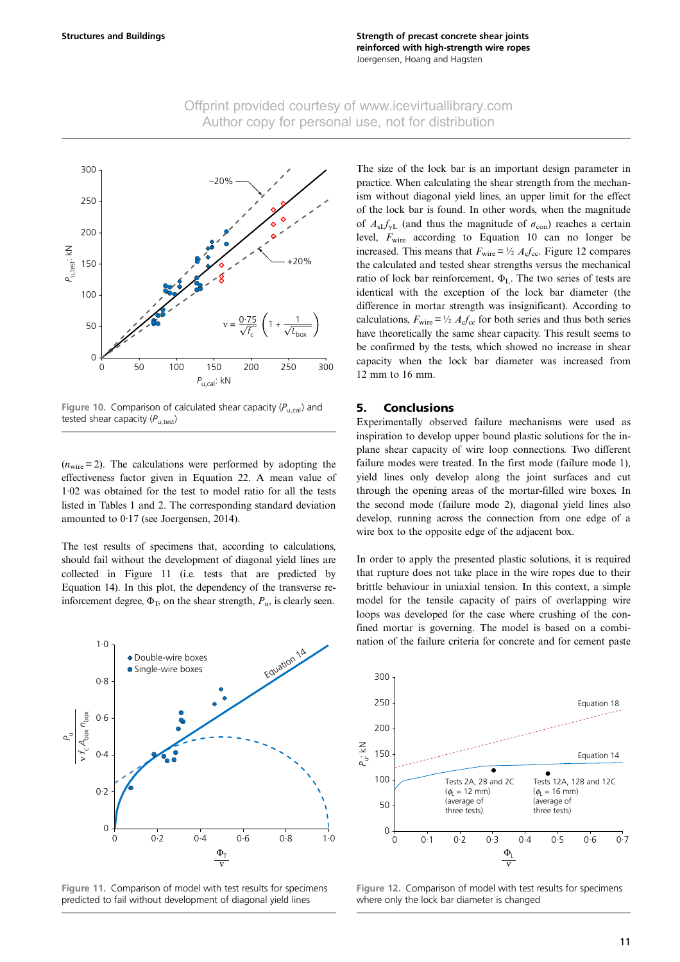

<span id="page-11-0"></span>

Figure 10. Comparison of calculated shear capacity  $(P_{U,cal})$  and tested shear capacity  $(P_{\text{u,test}})$ 

 $(n_{\text{wire}} = 2)$ . The calculations were performed by adopting the effectiveness factor given in [Equation 22](#page-8-0). A mean value of 1·02 was obtained for the test to model ratio for all the tests listed in [Tables 1 and 2.](#page-10-0) The corresponding standard deviation amounted to 0·17 (see [Joergensen, 2014\)](#page-12-0).

The test results of specimens that, according to calculations, should fail without the development of diagonal yield lines are collected in Figure 11 (i.e. tests that are predicted by [Equation 14](#page-6-0)). In this plot, the dependency of the transverse reinforcement degree,  $\Phi$ <sub>T</sub>, on the shear strength,  $P$ <sub>u</sub>, is clearly seen.



Figure 11. Comparison of model with test results for specimens predicted to fail without development of diagonal yield lines

The size of the lock bar is an important design parameter in practice. When calculating the shear strength from the mechanism without diagonal yield lines, an upper limit for the effect of the lock bar is found. In other words, when the magnitude of  $A_{sI}f_{vI}$  (and thus the magnitude of  $\sigma_{con}$ ) reaches a certain level,  $F_{\text{wire}}$  according to [Equation 10](#page-5-0) can no longer be increased. This means that  $F_{\text{wire}} = \frac{1}{2} A_c f_{\text{cc}}$ . Figure 12 compares the calculated and tested shear strengths versus the mechanical ratio of lock bar reinforcement,  $\Phi_L$ . The two series of tests are identical with the exception of the lock bar diameter (the difference in mortar strength was insignificant). According to calculations,  $F_{\text{wire}} = \frac{1}{2} A_c f_{cc}$  for both series and thus both series have theoretically the same shear capacity. This result seems to be confirmed by the tests, which showed no increase in shear capacity when the lock bar diameter was increased from 12 mm to 16 mm.

#### 5. Conclusions

Experimentally observed failure mechanisms were used as inspiration to develop upper bound plastic solutions for the inplane shear capacity of wire loop connections. Two different failure modes were treated. In the first mode (failure mode 1), yield lines only develop along the joint surfaces and cut through the opening areas of the mortar-filled wire boxes. In the second mode (failure mode 2), diagonal yield lines also develop, running across the connection from one edge of a wire box to the opposite edge of the adjacent box.

In order to apply the presented plastic solutions, it is required that rupture does not take place in the wire ropes due to their brittle behaviour in uniaxial tension. In this context, a simple model for the tensile capacity of pairs of overlapping wire loops was developed for the case where crushing of the confined mortar is governing. The model is based on a combination of the failure criteria for concrete and for cement paste



Figure 12. Comparison of model with test results for specimens where only the lock bar diameter is changed